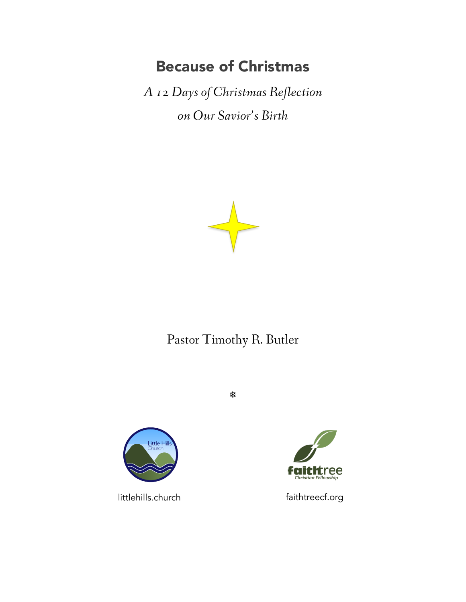## Because of Christmas

*A 12 Days of Christmas Reflection on Our Savior's Birth*



## Pastor Timothy R. Butler

❄



littlehills.church faithtreecf.org

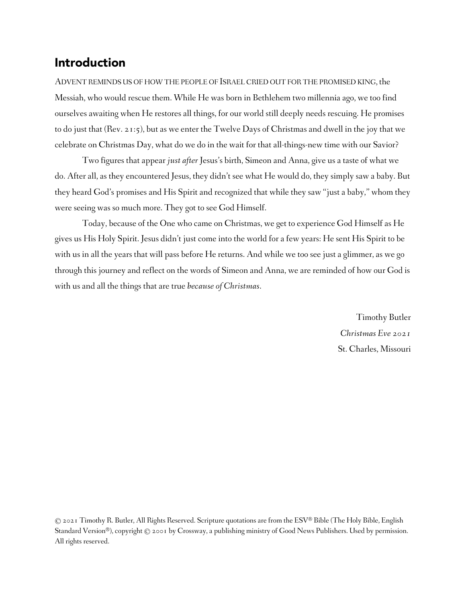### Introduction

ADVENT REMINDS US OF HOW THE PEOPLE OF ISRAEL CRIED OUT FOR THE PROMISED KING, the Messiah, who would rescue them. While He was born in Bethlehem two millennia ago, we too find ourselves awaiting when He restores all things, for our world still deeply needs rescuing. He promises to do just that (Rev. 21:5), but as we enter the Twelve Days of Christmas and dwell in the joy that we celebrate on Christmas Day, what do we do in the wait for that all-things-new time with our Savior?

Two figures that appear *just after* Jesus's birth, Simeon and Anna, give us a taste of what we do. After all, as they encountered Jesus, they didn't see what He would do, they simply saw a baby. But they heard God's promises and His Spirit and recognized that while they saw "just a baby," whom they were seeing was so much more. They got to see God Himself.

Today, because of the One who came on Christmas, we get to experience God Himself as He gives us His Holy Spirit. Jesus didn't just come into the world for a few years: He sent His Spirit to be with us in all the years that will pass before He returns. And while we too see just a glimmer, as we go through this journey and reflect on the words of Simeon and Anna, we are reminded of how our God is with us and all the things that are true *because of Christmas*.

> Timothy Butler *Christmas Eve 2021* St. Charles, Missouri

© 2021 Timothy R. Butler, All Rights Reserved. Scripture quotations are from the ESV® Bible (The Holy Bible, English Standard Version®), copyright © 2001 by Crossway, a publishing ministry of Good News Publishers. Used by permission. All rights reserved.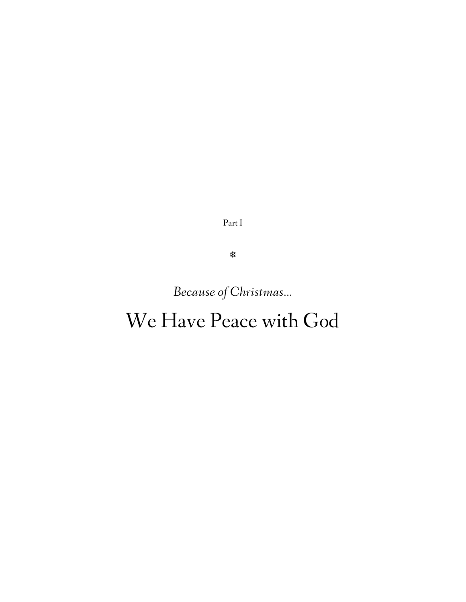Part I

❄

*Because of Christmas…*

# We Have Peace with God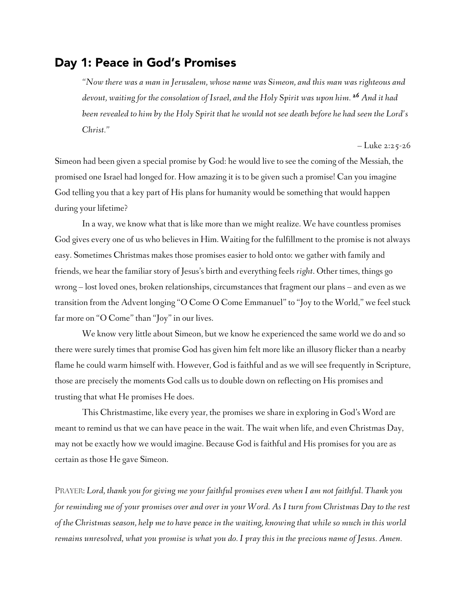#### Day 1: Peace in God's Promises

*"Now there was a man in Jerusalem, whose name was Simeon, and this man was righteous and devout, waiting for the consolation of Israel, and the Holy Spirit was upon him. 26 And it had been revealed to him by the Holy Spirit that he would not see death before he had seen the Lord's Christ."*

– Luke 2:25-26

Simeon had been given a special promise by God: he would live to see the coming of the Messiah, the promised one Israel had longed for. How amazing it is to be given such a promise! Can you imagine God telling you that a key part of His plans for humanity would be something that would happen during your lifetime?

In a way, we know what that is like more than we might realize. We have countless promises God gives every one of us who believes in Him. Waiting for the fulfillment to the promise is not always easy. Sometimes Christmas makes those promises easier to hold onto: we gather with family and friends, we hear the familiar story of Jesus's birth and everything feels *right*. Other times, things go wrong – lost loved ones, broken relationships, circumstances that fragment our plans – and even as we transition from the Advent longing "O Come O Come Emmanuel" to "Joy to the World," we feel stuck far more on "O Come" than "Joy" in our lives.

We know very little about Simeon, but we know he experienced the same world we do and so there were surely times that promise God has given him felt more like an illusory flicker than a nearby flame he could warm himself with. However, God is faithful and as we will see frequently in Scripture, those are precisely the moments God calls us to double down on reflecting on His promises and trusting that what He promises He does.

This Christmastime, like every year, the promises we share in exploring in God's Word are meant to remind us that we can have peace in the wait. The wait when life, and even Christmas Day, may not be exactly how we would imagine. Because God is faithful and His promises for you are as certain as those He gave Simeon.

PRAYER: *Lord, thank you for giving me your faithful promises even when I am not faithful. Thank you for reminding me of your promises over and over in your Word. As I turn from Christmas Day to the rest of the Christmas season, help me to have peace in the waiting, knowing that while so much in this world remains unresolved, what you promise is what you do. I pray this in the precious name of Jesus. Amen.*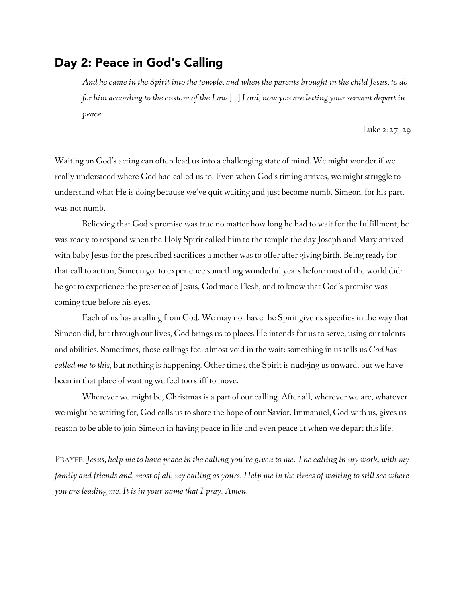#### Day 2: Peace in God's Calling

*And he came in the Spirit into the temple, and when the parents brought in the child Jesus, to do for him according to the custom of the Law […] Lord, now you are letting your servant depart in peace…*

– Luke 2:27, 29

Waiting on God's acting can often lead us into a challenging state of mind. We might wonder if we really understood where God had called us to. Even when God's timing arrives, we might struggle to understand what He is doing because we've quit waiting and just become numb. Simeon, for his part, was not numb.

Believing that God's promise was true no matter how long he had to wait for the fulfillment, he was ready to respond when the Holy Spirit called him to the temple the day Joseph and Mary arrived with baby Jesus for the prescribed sacrifices a mother was to offer after giving birth. Being ready for that call to action, Simeon got to experience something wonderful years before most of the world did: he got to experience the presence of Jesus, God made Flesh, and to know that God's promise was coming true before his eyes.

Each of us has a calling from God. We may not have the Spirit give us specifics in the way that Simeon did, but through our lives, God brings us to places He intends for us to serve, using our talents and abilities. Sometimes, those callings feel almost void in the wait: something in us tells us *God has called me to this*, but nothing is happening. Other times, the Spirit is nudging us onward, but we have been in that place of waiting we feel too stiff to move.

Wherever we might be, Christmas is a part of our calling. After all, wherever we are, whatever we might be waiting for, God calls us to share the hope of our Savior. Immanuel, God with us, gives us reason to be able to join Simeon in having peace in life and even peace at when we depart this life.

PRAYER: *Jesus, help me to have peace in the calling you've given to me. The calling in my work, with my family and friends and, most of all, my calling as yours. Help me in the times of waiting to still see where you are leading me. It is in your name that I pray. Amen.*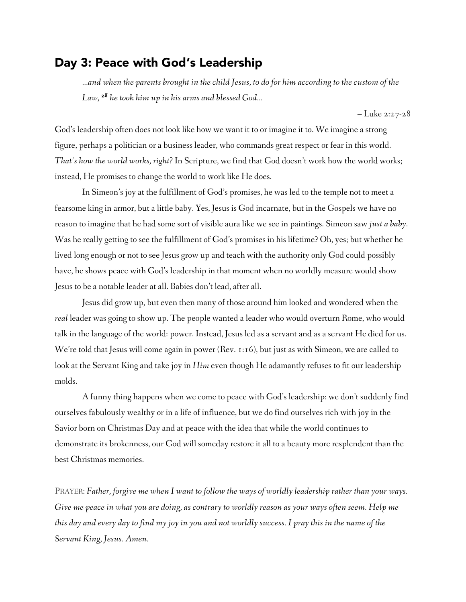## Day 3: Peace with God's Leadership

*…and when the parents brought in the child Jesus, to do for him according to the custom of the Law, 28 he took him up in his arms and blessed God…*

– Luke 2:27-28

God's leadership often does not look like how we want it to or imagine it to. We imagine a strong figure, perhaps a politician or a business leader, who commands great respect or fear in this world. *That's how the world works, right?* In Scripture, we find that God doesn't work how the world works; instead, He promises to change the world to work like He does.

In Simeon's joy at the fulfillment of God's promises, he was led to the temple not to meet a fearsome king in armor, but a little baby. Yes, Jesus is God incarnate, but in the Gospels we have no reason to imagine that he had some sort of visible aura like we see in paintings. Simeon saw *just a baby*. Was he really getting to see the fulfillment of God's promises in his lifetime? Oh, yes; but whether he lived long enough or not to see Jesus grow up and teach with the authority only God could possibly have, he shows peace with God's leadership in that moment when no worldly measure would show Jesus to be a notable leader at all. Babies don't lead, after all.

Jesus did grow up, but even then many of those around him looked and wondered when the *real* leader was going to show up. The people wanted a leader who would overturn Rome, who would talk in the language of the world: power. Instead, Jesus led as a servant and as a servant He died for us. We're told that Jesus will come again in power (Rev. 1:16), but just as with Simeon, we are called to look at the Servant King and take joy in *Him* even though He adamantly refuses to fit our leadership molds.

A funny thing happens when we come to peace with God's leadership: we don't suddenly find ourselves fabulously wealthy or in a life of influence, but we do find ourselves rich with joy in the Savior born on Christmas Day and at peace with the idea that while the world continues to demonstrate its brokenness, our God will someday restore it all to a beauty more resplendent than the best Christmas memories.

PRAYER: *Father, forgive me when I want to follow the ways of worldly leadership rather than your ways. Give me peace in what you are doing, as contrary to worldly reason as your ways often seem. Help me this day and every day to find my joy in you and not worldly success. I pray this in the name of the Servant King, Jesus. Amen.*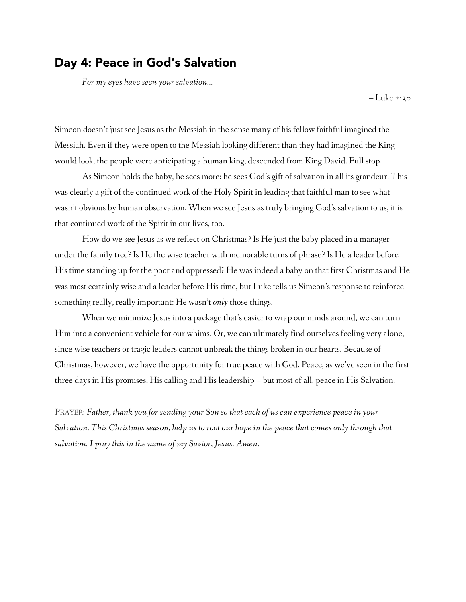#### Day 4: Peace in God's Salvation

*For my eyes have seen your salvation…*

– Luke 2:30

Simeon doesn't just see Jesus as the Messiah in the sense many of his fellow faithful imagined the Messiah. Even if they were open to the Messiah looking different than they had imagined the King would look, the people were anticipating a human king, descended from King David. Full stop.

As Simeon holds the baby, he sees more: he sees God's gift of salvation in all its grandeur. This was clearly a gift of the continued work of the Holy Spirit in leading that faithful man to see what wasn't obvious by human observation. When we see Jesus as truly bringing God's salvation to us, it is that continued work of the Spirit in our lives, too.

How do we see Jesus as we reflect on Christmas? Is He just the baby placed in a manager under the family tree? Is He the wise teacher with memorable turns of phrase? Is He a leader before His time standing up for the poor and oppressed? He was indeed a baby on that first Christmas and He was most certainly wise and a leader before His time, but Luke tells us Simeon's response to reinforce something really, really important: He wasn't *only* those things.

When we minimize Jesus into a package that's easier to wrap our minds around, we can turn Him into a convenient vehicle for our whims. Or, we can ultimately find ourselves feeling very alone, since wise teachers or tragic leaders cannot unbreak the things broken in our hearts. Because of Christmas, however, we have the opportunity for true peace with God. Peace, as we've seen in the first three days in His promises, His calling and His leadership – but most of all, peace in His Salvation.

PRAYER: *Father, thank you for sending your Son so that each of us can experience peace in your Salvation. This Christmas season, help us to root our hope in the peace that comes only through that salvation. I pray this in the name of my Savior, Jesus. Amen.*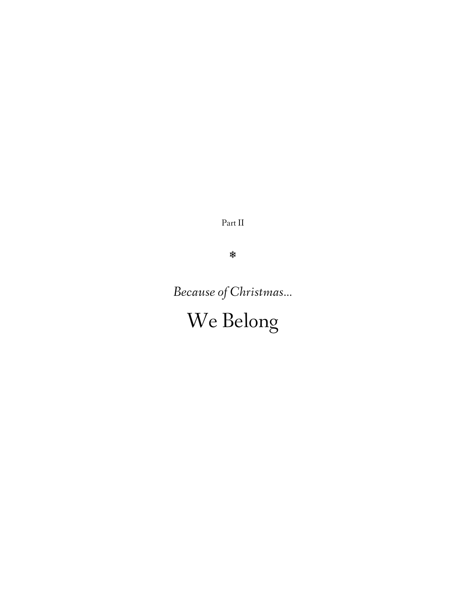Part II

❄

*Because of Christmas…*

We Belong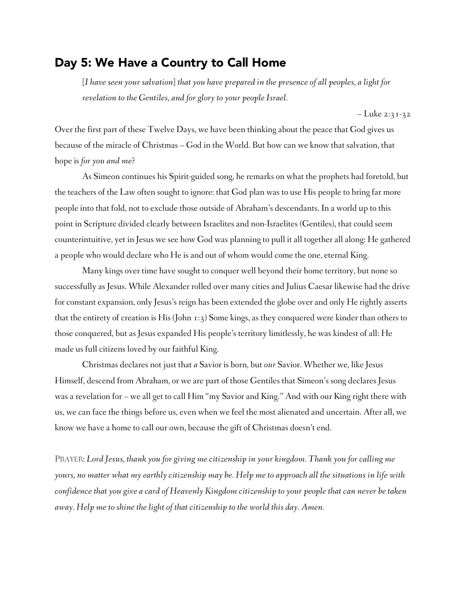#### Day 5: We Have a Country to Call Home

*[I have seen your salvation] that you have prepared in the presence of all peoples, a light for revelation to the Gentiles, and for glory to your people Israel.*

– Luke 2:31-32

Over the first part of these Twelve Days, we have been thinking about the peace that God gives us because of the miracle of Christmas – God in the World. But how can we know that salvation, that hope is *for you and me*?

As Simeon continues his Spirit-guided song, he remarks on what the prophets had foretold, but the teachers of the Law often sought to ignore: that God plan was to use His people to bring far more people into that fold, not to exclude those outside of Abraham's descendants. In a world up to this point in Scripture divided clearly between Israelites and non-Israelites (Gentiles), that could seem counterintuitive, yet in Jesus we see how God was planning to pull it all together all along: He gathered a people who would declare who He is and out of whom would come the one, eternal King.

Many kings over time have sought to conquer well beyond their home territory, but none so successfully as Jesus. While Alexander rolled over many cities and Julius Caesar likewise had the drive for constant expansion, only Jesus's reign has been extended the globe over and only He rightly asserts that the entirety of creation is His (John 1:3) Some kings, as they conquered were kinder than others to those conquered, but as Jesus expanded His people's territory limitlessly, he was kindest of all: He made us full citizens loved by our faithful King.

Christmas declares not just that *a* Savior is born, but *our* Savior. Whether we, like Jesus Himself, descend from Abraham, or we are part of those Gentiles that Simeon's song declares Jesus was a revelation for – we all get to call Him "my Savior and King." And with our King right there with us, we can face the things before us, even when we feel the most alienated and uncertain. After all, we know we have a home to call our own, because the gift of Christmas doesn't end.

PRAYER: *Lord Jesus, thank you for giving me citizenship in your kingdom. Thank you for calling me yours, no matter what my earthly citizenship may be. Help me to approach all the situations in life with confidence that you give a card of Heavenly Kingdom citizenship to your people that can never be taken away. Help me to shine the light of that citizenship to the world this day. Amen.*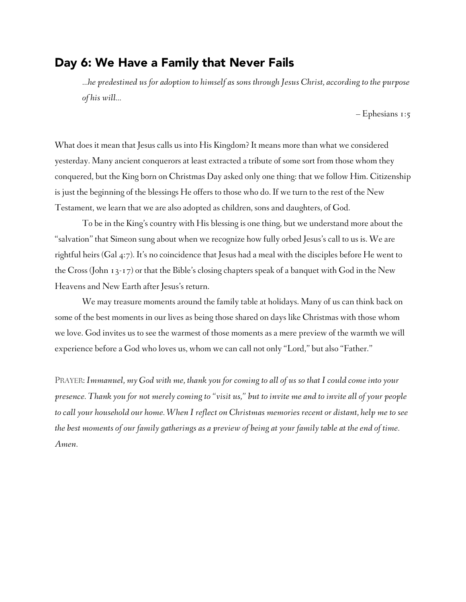#### Day 6: We Have a Family that Never Fails

*…he predestined us for adoption to himself as sons through Jesus Christ, according to the purpose of his will…*

– Ephesians 1:5

What does it mean that Jesus calls us into His Kingdom? It means more than what we considered yesterday. Many ancient conquerors at least extracted a tribute of some sort from those whom they conquered, but the King born on Christmas Day asked only one thing: that we follow Him. Citizenship is just the beginning of the blessings He offers to those who do. If we turn to the rest of the New Testament, we learn that we are also adopted as children, sons and daughters, of God.

To be in the King's country with His blessing is one thing, but we understand more about the "salvation" that Simeon sung about when we recognize how fully orbed Jesus's call to us is. We are rightful heirs (Gal 4:7). It's no coincidence that Jesus had a meal with the disciples before He went to the Cross (John 13-17) or that the Bible's closing chapters speak of a banquet with God in the New Heavens and New Earth after Jesus's return.

We may treasure moments around the family table at holidays. Many of us can think back on some of the best moments in our lives as being those shared on days like Christmas with those whom we love. God invites us to see the warmest of those moments as a mere preview of the warmth we will experience before a God who loves us, whom we can call not only "Lord," but also "Father."

PRAYER: *Immanuel, my God with me, thank you for coming to all of us so that I could come into your presence. Thank you for not merely coming to "visit us," but to invite me and to invite all of your people to call your household our home. When I reflect on Christmas memories recent or distant, help me to see the best moments of our family gatherings as a preview of being at your family table at the end of time. Amen.*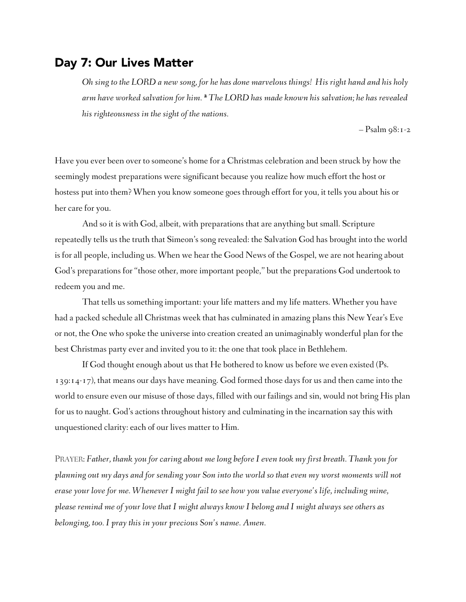#### Day 7: Our Lives Matter

*Oh sing to the LORD a new song, for he has done marvelous things! His right hand and his holy arm have worked salvation for him. <sup>2</sup> The LORD has made known his salvation; he has revealed his righteousness in the sight of the nations.*

– Psalm 98:1-2

Have you ever been over to someone's home for a Christmas celebration and been struck by how the seemingly modest preparations were significant because you realize how much effort the host or hostess put into them? When you know someone goes through effort for you, it tells you about his or her care for you.

And so it is with God, albeit, with preparations that are anything but small. Scripture repeatedly tells us the truth that Simeon's song revealed: the Salvation God has brought into the world is for all people, including us. When we hear the Good News of the Gospel, we are not hearing about God's preparations for "those other, more important people," but the preparations God undertook to redeem you and me.

That tells us something important: your life matters and my life matters. Whether you have had a packed schedule all Christmas week that has culminated in amazing plans this New Year's Eve or not, the One who spoke the universe into creation created an unimaginably wonderful plan for the best Christmas party ever and invited you to it: the one that took place in Bethlehem.

If God thought enough about us that He bothered to know us before we even existed (Ps. 139:14-17), that means our days have meaning. God formed those days for us and then came into the world to ensure even our misuse of those days, filled with our failings and sin, would not bring His plan for us to naught. God's actions throughout history and culminating in the incarnation say this with unquestioned clarity: each of our lives matter to Him.

PRAYER: *Father, thank you for caring about me long before I even took my first breath. Thank you for planning out my days and for sending your Son into the world so that even my worst moments will not erase your love for me. Whenever I might fail to see how you value everyone's life, including mine, please remind me of your love that I might always know I belong and I might always see others as belonging, too. I pray this in your precious Son's name. Amen.*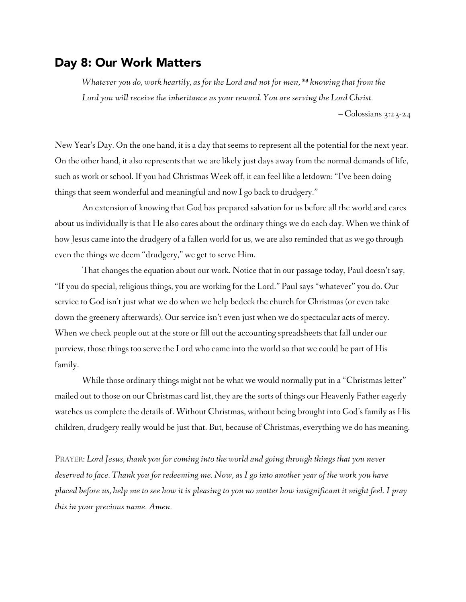#### Day 8: Our Work Matters

*Whatever you do, work heartily, as for the Lord and not for men, <sup>24</sup> knowing that from the Lord you will receive the inheritance as your reward. You are serving the Lord Christ.*

– Colossians 3:23-24

New Year's Day. On the one hand, it is a day that seems to represent all the potential for the next year. On the other hand, it also represents that we are likely just days away from the normal demands of life, such as work or school. If you had Christmas Week off, it can feel like a letdown: "I've been doing things that seem wonderful and meaningful and now I go back to drudgery."

An extension of knowing that God has prepared salvation for us before all the world and cares about us individually is that He also cares about the ordinary things we do each day. When we think of how Jesus came into the drudgery of a fallen world for us, we are also reminded that as we go through even the things we deem "drudgery," we get to serve Him.

That changes the equation about our work. Notice that in our passage today, Paul doesn't say, "If you do special, religious things, you are working for the Lord." Paul says "whatever" you do. Our service to God isn't just what we do when we help bedeck the church for Christmas (or even take down the greenery afterwards). Our service isn't even just when we do spectacular acts of mercy. When we check people out at the store or fill out the accounting spreadsheets that fall under our purview, those things too serve the Lord who came into the world so that we could be part of His family.

While those ordinary things might not be what we would normally put in a "Christmas letter" mailed out to those on our Christmas card list, they are the sorts of things our Heavenly Father eagerly watches us complete the details of. Without Christmas, without being brought into God's family as His children, drudgery really would be just that. But, because of Christmas, everything we do has meaning.

PRAYER: *Lord Jesus, thank you for coming into the world and going through things that you never deserved to face. Thank you for redeeming me. Now, as I go into another year of the work you have placed before us, help me to see how it is pleasing to you no matter how insignificant it might feel. I pray this in your precious name. Amen.*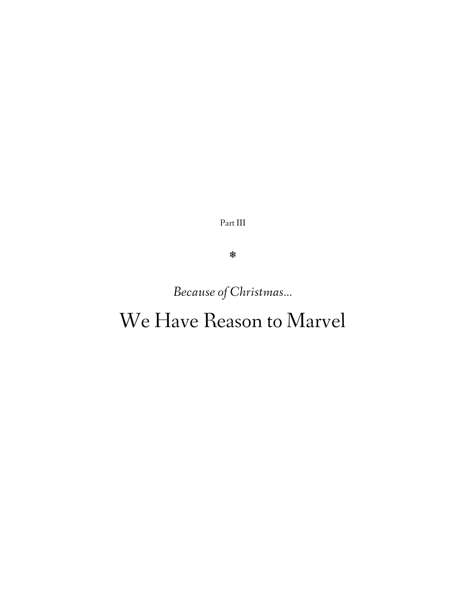Part III

❄

*Because of Christmas…*

# We Have Reason to Marvel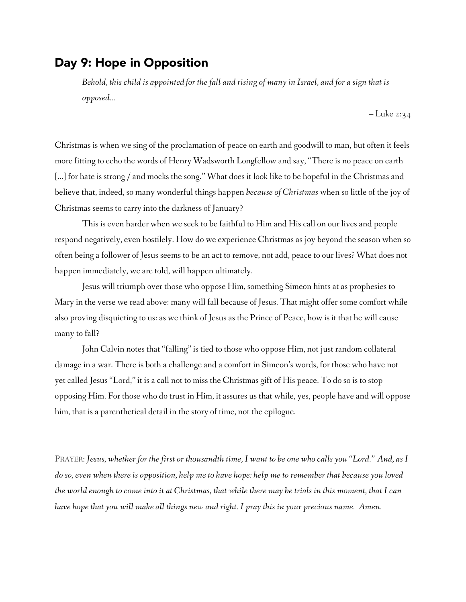#### Day 9: Hope in Opposition

*Behold, this child is appointed for the fall and rising of many in Israel, and for a sign that is opposed…*

– Luke 2:34

Christmas is when we sing of the proclamation of peace on earth and goodwill to man, but often it feels more fitting to echo the words of Henry Wadsworth Longfellow and say, "There is no peace on earth [...] for hate is strong / and mocks the song." What does it look like to be hopeful in the Christmas and believe that, indeed, so many wonderful things happen *because of Christmas* when so little of the joy of Christmas seems to carry into the darkness of January?

This is even harder when we seek to be faithful to Him and His call on our lives and people respond negatively, even hostilely. How do we experience Christmas as joy beyond the season when so often being a follower of Jesus seems to be an act to remove, not add, peace to our lives? What does not happen immediately, we are told, will happen ultimately.

Jesus will triumph over those who oppose Him, something Simeon hints at as prophesies to Mary in the verse we read above: many will fall because of Jesus. That might offer some comfort while also proving disquieting to us: as we think of Jesus as the Prince of Peace, how is it that he will cause many to fall?

John Calvin notes that "falling" is tied to those who oppose Him, not just random collateral damage in a war. There is both a challenge and a comfort in Simeon's words, for those who have not yet called Jesus "Lord," it is a call not to miss the Christmas gift of His peace. To do so is to stop opposing Him. For those who do trust in Him, it assures us that while, yes, people have and will oppose him, that is a parenthetical detail in the story of time, not the epilogue.

PRAYER: *Jesus, whether for the first or thousandth time, I want to be one who calls you "Lord." And, as I do so, even when there is opposition, help me to have hope: help me to remember that because you loved the world enough to come into it at Christmas, that while there may be trials in this moment, that I can have hope that you will make all things new and right. I pray this in your precious name. Amen.*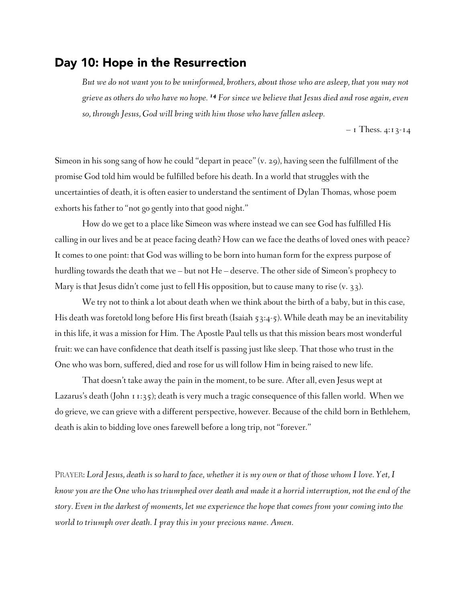#### Day 10: Hope in the Resurrection

*But we do not want you to be uninformed, brothers, about those who are asleep, that you may not grieve as others do who have no hope. 14 For since we believe that Jesus died and rose again, even so, through Jesus, God will bring with him those who have fallen asleep.*

 $-$  1 Thess. 4:13-14

Simeon in his song sang of how he could "depart in peace" (v. 29), having seen the fulfillment of the promise God told him would be fulfilled before his death. In a world that struggles with the uncertainties of death, it is often easier to understand the sentiment of Dylan Thomas, whose poem exhorts his father to "not go gently into that good night."

How do we get to a place like Simeon was where instead we can see God has fulfilled His calling in our lives and be at peace facing death? How can we face the deaths of loved ones with peace? It comes to one point: that God was willing to be born into human form for the express purpose of hurdling towards the death that we – but not He – deserve. The other side of Simeon's prophecy to Mary is that Jesus didn't come just to fell His opposition, but to cause many to rise (v. 33).

We try not to think a lot about death when we think about the birth of a baby, but in this case, His death was foretold long before His first breath (Isaiah 53:4-5). While death may be an inevitability in this life, it was a mission for Him. The Apostle Paul tells us that this mission bears most wonderful fruit: we can have confidence that death itself is passing just like sleep. That those who trust in the One who was born, suffered, died and rose for us will follow Him in being raised to new life.

That doesn't take away the pain in the moment, to be sure. After all, even Jesus wept at Lazarus's death (John 11:35); death is very much a tragic consequence of this fallen world. When we do grieve, we can grieve with a different perspective, however. Because of the child born in Bethlehem, death is akin to bidding love ones farewell before a long trip, not "forever."

PRAYER: *Lord Jesus, death is so hard to face, whether it is my own or that of those whom I love. Yet, I know you are the One who has triumphed over death and made it a horrid interruption, not the end of the story. Even in the darkest of moments, let me experience the hope that comes from your coming into the world to triumph over death. I pray this in your precious name. Amen.*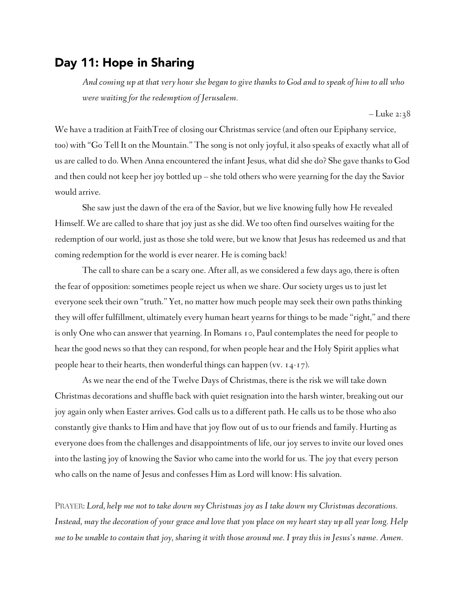## Day 11: Hope in Sharing

*And coming up at that very hour she began to give thanks to God and to speak of him to all who were waiting for the redemption of Jerusalem.* 

– Luke 2:38

We have a tradition at FaithTree of closing our Christmas service (and often our Epiphany service, too) with "Go Tell It on the Mountain." The song is not only joyful, it also speaks of exactly what all of us are called to do. When Anna encountered the infant Jesus, what did she do? She gave thanks to God and then could not keep her joy bottled up – she told others who were yearning for the day the Savior would arrive.

She saw just the dawn of the era of the Savior, but we live knowing fully how He revealed Himself. We are called to share that joy just as she did. We too often find ourselves waiting for the redemption of our world, just as those she told were, but we know that Jesus has redeemed us and that coming redemption for the world is ever nearer. He is coming back!

The call to share can be a scary one. After all, as we considered a few days ago, there is often the fear of opposition: sometimes people reject us when we share. Our society urges us to just let everyone seek their own "truth." Yet, no matter how much people may seek their own paths thinking they will offer fulfillment, ultimately every human heart yearns for things to be made "right," and there is only One who can answer that yearning. In Romans 10, Paul contemplates the need for people to hear the good news so that they can respond, for when people hear and the Holy Spirit applies what people hear to their hearts, then wonderful things can happen (vv. 14-17).

As we near the end of the Twelve Days of Christmas, there is the risk we will take down Christmas decorations and shuffle back with quiet resignation into the harsh winter, breaking out our joy again only when Easter arrives. God calls us to a different path. He calls us to be those who also constantly give thanks to Him and have that joy flow out of us to our friends and family. Hurting as everyone does from the challenges and disappointments of life, our joy serves to invite our loved ones into the lasting joy of knowing the Savior who came into the world for us. The joy that every person who calls on the name of Jesus and confesses Him as Lord will know: His salvation.

PRAYER: *Lord, help me not to take down my Christmas joy as I take down my Christmas decorations. Instead, may the decoration of your grace and love that you place on my heart stay up all year long. Help me to be unable to contain that joy, sharing it with those around me. I pray this in Jesus's name. Amen.*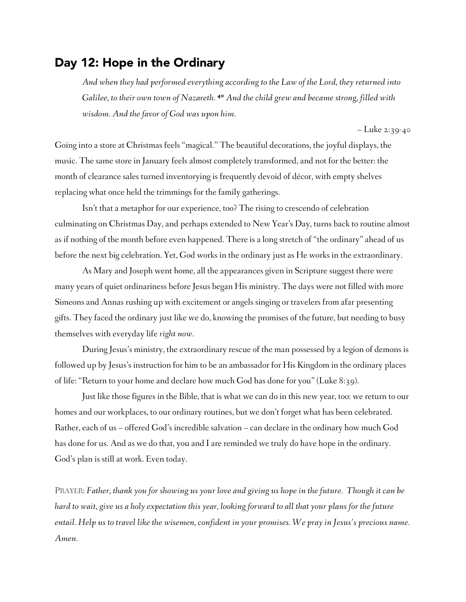#### Day 12: Hope in the Ordinary

*And when they had performed everything according to the Law of the Lord, they returned into Galilee, to their own town of Nazareth. 40 And the child grew and became strong, filled with wisdom. And the favor of God was upon him.* 

– Luke 2:39-40

Going into a store at Christmas feels "magical." The beautiful decorations, the joyful displays, the music. The same store in January feels almost completely transformed, and not for the better: the month of clearance sales turned inventorying is frequently devoid of décor, with empty shelves replacing what once held the trimmings for the family gatherings.

Isn't that a metaphor for our experience, too? The rising to crescendo of celebration culminating on Christmas Day, and perhaps extended to New Year's Day, turns back to routine almost as if nothing of the month before even happened. There is a long stretch of "the ordinary" ahead of us before the next big celebration. Yet, God works in the ordinary just as He works in the extraordinary.

As Mary and Joseph went home, all the appearances given in Scripture suggest there were many years of quiet ordinariness before Jesus began His ministry. The days were not filled with more Simeons and Annas rushing up with excitement or angels singing or travelers from afar presenting gifts. They faced the ordinary just like we do, knowing the promises of the future, but needing to busy themselves with everyday life *right now*.

During Jesus's ministry, the extraordinary rescue of the man possessed by a legion of demons is followed up by Jesus's instruction for him to be an ambassador for His Kingdom in the ordinary places of life: "Return to your home and declare how much God has done for you" (Luke 8:39).

Just like those figures in the Bible, that is what we can do in this new year, too: we return to our homes and our workplaces, to our ordinary routines, but we don't forget what has been celebrated. Rather, each of us – offered God's incredible salvation – can declare in the ordinary how much God has done for us. And as we do that, you and I are reminded we truly do have hope in the ordinary. God's plan is still at work. Even today.

PRAYER: *Father, thank you for showing us your love and giving us hope in the future. Though it can be hard to wait, give us a holy expectation this year, looking forward to all that your plans for the future entail. Help us to travel like the wisemen, confident in your promises. We pray in Jesus's precious name. Amen.*